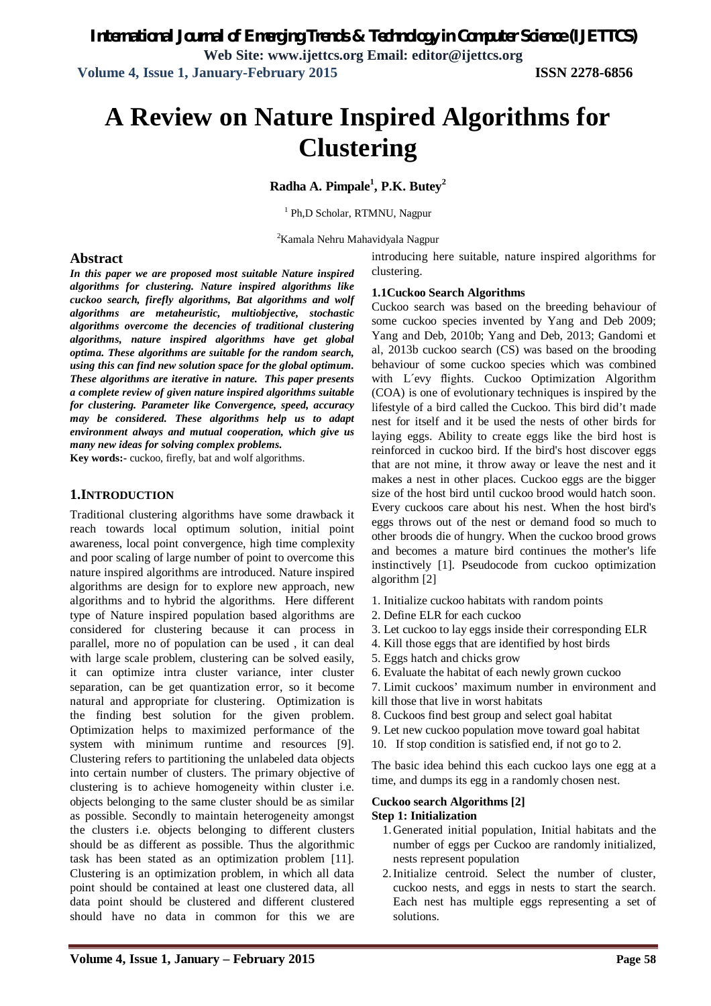# **A Review on Nature Inspired Algorithms for Clustering**

**Radha A. Pimpale<sup>1</sup> , P.K. Butey<sup>2</sup>**

<sup>1</sup> Ph,D Scholar, RTMNU, Nagpur

<sup>2</sup>Kamala Nehru Mahavidyala Nagpur

### **Abstract**

*In this paper we are proposed most suitable Nature inspired algorithms for clustering. Nature inspired algorithms like cuckoo search, firefly algorithms, Bat algorithms and wolf algorithms are metaheuristic, multiobjective, stochastic algorithms overcome the decencies of traditional clustering algorithms, nature inspired algorithms have get global optima. These algorithms are suitable for the random search, using this can find new solution space for the global optimum. These algorithms are iterative in nature. This paper presents a complete review of given nature inspired algorithms suitable for clustering. Parameter like Convergence, speed, accuracy may be considered. These algorithms help us to adapt environment always and mutual cooperation, which give us many new ideas for solving complex problems.*

**Key words:-** cuckoo, firefly, bat and wolf algorithms.

### **1.INTRODUCTION**

Traditional clustering algorithms have some drawback it reach towards local optimum solution, initial point awareness, local point convergence, high time complexity and poor scaling of large number of point to overcome this nature inspired algorithms are introduced. Nature inspired algorithms are design for to explore new approach, new algorithms and to hybrid the algorithms. Here different type of Nature inspired population based algorithms are considered for clustering because it can process in parallel, more no of population can be used , it can deal with large scale problem, clustering can be solved easily, it can optimize intra cluster variance, inter cluster separation, can be get quantization error, so it become natural and appropriate for clustering. Optimization is the finding best solution for the given problem. Optimization helps to maximized performance of the system with minimum runtime and resources [9]. Clustering refers to partitioning the unlabeled data objects into certain number of clusters. The primary objective of clustering is to achieve homogeneity within cluster i.e. objects belonging to the same cluster should be as similar as possible. Secondly to maintain heterogeneity amongst the clusters i.e. objects belonging to different clusters should be as different as possible. Thus the algorithmic task has been stated as an optimization problem [11]. Clustering is an optimization problem, in which all data point should be contained at least one clustered data, all data point should be clustered and different clustered should have no data in common for this we are

introducing here suitable, nature inspired algorithms for clustering.

#### **1.1Cuckoo Search Algorithms**

Cuckoo search was based on the breeding behaviour of some cuckoo species invented by Yang and Deb 2009; Yang and Deb, 2010b; Yang and Deb, 2013; Gandomi et al, 2013b cuckoo search (CS) was based on the brooding behaviour of some cuckoo species which was combined with L´evy flights. Cuckoo Optimization Algorithm (COA) is one of evolutionary techniques is inspired by the lifestyle of a bird called the Cuckoo. This bird did't made nest for itself and it be used the nests of other birds for laying eggs. Ability to create eggs like the bird host is reinforced in cuckoo bird. If the bird's host discover eggs that are not mine, it throw away or leave the nest and it makes a nest in other places. Cuckoo eggs are the bigger size of the host bird until cuckoo brood would hatch soon. Every cuckoos care about his nest. When the host bird's eggs throws out of the nest or demand food so much to other broods die of hungry. When the cuckoo brood grows and becomes a mature bird continues the mother's life instinctively [1]. Pseudocode from cuckoo optimization algorithm [2]

- 1. Initialize cuckoo habitats with random points
- 2. Define ELR for each cuckoo
- 3. Let cuckoo to lay eggs inside their corresponding ELR
- 4. Kill those eggs that are identified by host birds
- 5. Eggs hatch and chicks grow
- 6. Evaluate the habitat of each newly grown cuckoo

7. Limit cuckoos' maximum number in environment and kill those that live in worst habitats

- 8. Cuckoos find best group and select goal habitat
- 9. Let new cuckoo population move toward goal habitat
- 10. If stop condition is satisfied end, if not go to 2.

The basic idea behind this each cuckoo lays one egg at a time, and dumps its egg in a randomly chosen nest.

#### **Cuckoo search Algorithms [2]**

#### **Step 1: Initialization**

- 1.Generated initial population, Initial habitats and the number of eggs per Cuckoo are randomly initialized, nests represent population
- 2.Initialize centroid. Select the number of cluster, cuckoo nests, and eggs in nests to start the search. Each nest has multiple eggs representing a set of solutions.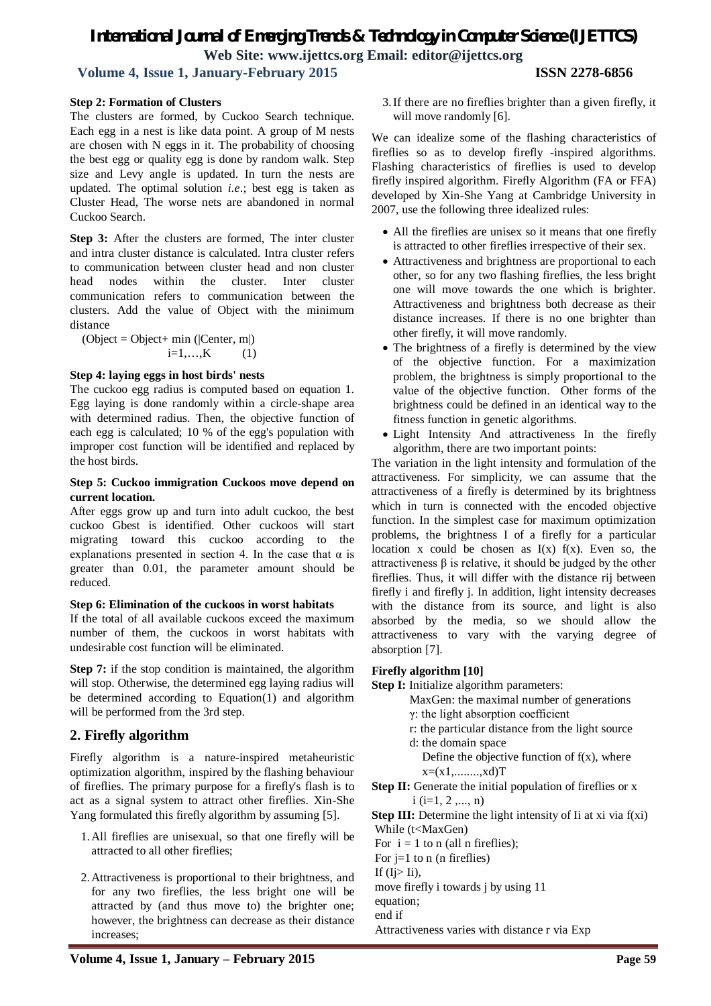**Volume 4, Issue 1, January-February 2015 ISSN 2278-6856**

### **Step 2: Formation of Clusters**

The clusters are formed, by Cuckoo Search technique. Each egg in a nest is like data point. A group of M nests are chosen with N eggs in it. The probability of choosing the best egg or quality egg is done by random walk. Step size and Levy angle is updated. In turn the nests are updated. The optimal solution *i.e*.; best egg is taken as Cluster Head, The worse nets are abandoned in normal Cuckoo Search.

**Step 3:** After the clusters are formed, The inter cluster and intra cluster distance is calculated. Intra cluster refers to communication between cluster head and non cluster head nodes within the cluster. Inter cluster communication refers to communication between the clusters. Add the value of Object with the minimum distance

 $(Object = Object + min (Center, m])$  $i=1,...,K$  (1)

### **Step 4: laying eggs in host birds' nests**

The cuckoo egg radius is computed based on equation 1. Egg laying is done randomly within a circle-shape area with determined radius. Then, the objective function of each egg is calculated; 10 % of the egg's population with improper cost function will be identified and replaced by the host birds.

### **Step 5: Cuckoo immigration Cuckoos move depend on current location.**

After eggs grow up and turn into adult cuckoo, the best cuckoo Gbest is identified. Other cuckoos will start migrating toward this cuckoo according to the explanations presented in section 4. In the case that  $\alpha$  is greater than 0.01, the parameter amount should be reduced.

### **Step 6: Elimination of the cuckoos in worst habitats**

If the total of all available cuckoos exceed the maximum number of them, the cuckoos in worst habitats with undesirable cost function will be eliminated.

**Step 7:** if the stop condition is maintained, the algorithm will stop. Otherwise, the determined egg laying radius will be determined according to Equation(1) and algorithm will be performed from the 3rd step.

### **2. Firefly algorithm**

Firefly algorithm is a nature-inspired metaheuristic optimization algorithm, inspired by the flashing behaviour of fireflies. The primary purpose for a firefly's flash is to act as a signal system to attract other fireflies. Xin-She Yang formulated this firefly algorithm by assuming [5].

- 1.All fireflies are unisexual, so that one firefly will be attracted to all other fireflies;
- 2.Attractiveness is proportional to their brightness, and for any two fireflies, the less bright one will be attracted by (and thus move to) the brighter one; however, the brightness can decrease as their distance increases;

3.If there are no fireflies brighter than a given firefly, it will move randomly [6].

We can idealize some of the flashing characteristics of fireflies so as to develop firefly -inspired algorithms. Flashing characteristics of fireflies is used to develop firefly inspired algorithm. Firefly Algorithm (FA or FFA) developed by Xin-She Yang at Cambridge University in 2007, use the following three idealized rules:

- All the fireflies are unisex so it means that one firefly is attracted to other fireflies irrespective of their sex.
- Attractiveness and brightness are proportional to each other, so for any two flashing fireflies, the less bright one will move towards the one which is brighter. Attractiveness and brightness both decrease as their distance increases. If there is no one brighter than other firefly, it will move randomly.
- The brightness of a firefly is determined by the view of the objective function. For a maximization problem, the brightness is simply proportional to the value of the objective function. Other forms of the brightness could be defined in an identical way to the fitness function in genetic algorithms.
- Light Intensity And attractiveness In the firefly algorithm, there are two important points:

The variation in the light intensity and formulation of the attractiveness. For simplicity, we can assume that the attractiveness of a firefly is determined by its brightness which in turn is connected with the encoded objective function. In the simplest case for maximum optimization problems, the brightness I of a firefly for a particular location x could be chosen as  $I(x)$   $f(x)$ . Even so, the attractiveness β is relative, it should be judged by the other fireflies. Thus, it will differ with the distance rij between firefly i and firefly j. In addition, light intensity decreases with the distance from its source, and light is also absorbed by the media, so we should allow the attractiveness to vary with the varying degree of absorption [7].

### **Firefly algorithm [10]**

**Step I:** Initialize algorithm parameters:

- MaxGen: the maximal number of generations
- γ: the light absorption coefficient
- r: the particular distance from the light source
- d: the domain space
	- Define the objective function of  $f(x)$ , where  $x=(x1, \ldots, xd)T$
- **Step II:** Generate the initial population of fireflies or x  $i$  (i=1, 2,..., n)

**Step III:** Determine the light intensity of Ii at xi via  $f(x)$ While (t<MaxGen)

For  $i = 1$  to n (all n fireflies);

- For  $i=1$  to n (n fireflies)
- If  $(I<sub>i</sub> > I<sub>i</sub>)$ ,
- move firefly i towards j by using 11

equation;

end if

Attractiveness varies with distance r via Exp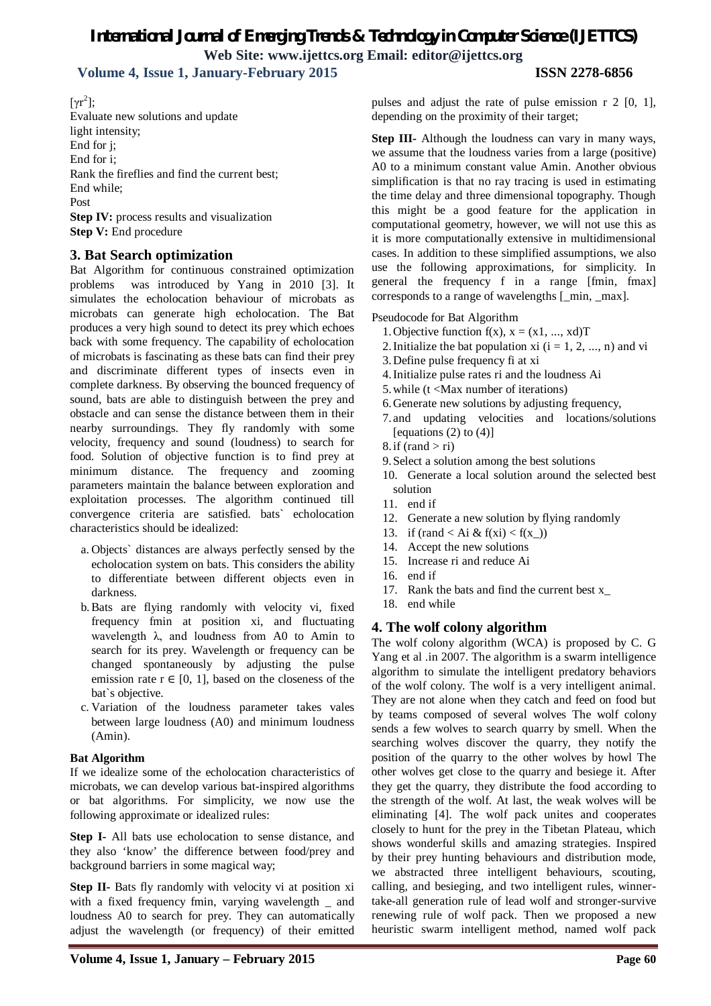**Volume 4, Issue 1, January-February 2015 ISSN 2278-6856**

[γr<sup>2</sup>]; Evaluate new solutions and update light intensity; End for j; End for i; Rank the fireflies and find the current best; End while; Post **Step IV:** process results and visualization **Step V:** End procedure

### **3. Bat Search optimization**

Bat Algorithm for continuous constrained optimization problems was introduced by Yang in 2010 [3]. It simulates the echolocation behaviour of microbats as microbats can generate high echolocation. The Bat produces a very high sound to detect its prey which echoes back with some frequency. The capability of echolocation of microbats is fascinating as these bats can find their prey and discriminate different types of insects even in complete darkness. By observing the bounced frequency of sound, bats are able to distinguish between the prey and obstacle and can sense the distance between them in their nearby surroundings. They fly randomly with some velocity, frequency and sound (loudness) to search for food. Solution of objective function is to find prey at minimum distance. The frequency and zooming parameters maintain the balance between exploration and exploitation processes. The algorithm continued till convergence criteria are satisfied. bats` echolocation characteristics should be idealized:

- a. Objects` distances are always perfectly sensed by the echolocation system on bats. This considers the ability to differentiate between different objects even in darkness.
- b.Bats are flying randomly with velocity vi, fixed frequency fmin at position xi, and fluctuating wavelength  $\lambda$ , and loudness from A0 to Amin to search for its prey. Wavelength or frequency can be changed spontaneously by adjusting the pulse emission rate  $r \in [0, 1]$ , based on the closeness of the bat's objective.
- c. Variation of the loudness parameter takes vales between large loudness (A0) and minimum loudness (Amin).

### **Bat Algorithm**

If we idealize some of the echolocation characteristics of microbats, we can develop various bat-inspired algorithms or bat algorithms. For simplicity, we now use the following approximate or idealized rules:

**Step I-** All bats use echolocation to sense distance, and they also 'know' the difference between food/prey and background barriers in some magical way;

**Step II-** Bats fly randomly with velocity vi at position xi with a fixed frequency fmin, varying wavelength and loudness A0 to search for prey. They can automatically adjust the wavelength (or frequency) of their emitted **Step III-** Although the loudness can vary in many ways, we assume that the loudness varies from a large (positive) A0 to a minimum constant value Amin. Another obvious simplification is that no ray tracing is used in estimating the time delay and three dimensional topography. Though this might be a good feature for the application in computational geometry, however, we will not use this as it is more computationally extensive in multidimensional cases. In addition to these simplified assumptions, we also use the following approximations, for simplicity. In general the frequency f in a range [fmin, fmax] corresponds to a range of wavelengths [\_min, \_max].

Pseudocode for Bat Algorithm

- 1. Objective function  $f(x)$ ,  $x = (x1, ..., xd)T$
- 2. Initialize the bat population xi  $(i = 1, 2, ..., n)$  and vi
- 3.Define pulse frequency fi at xi
- 4.Initialize pulse rates ri and the loudness Ai
- 5.while (t <Max number of iterations)
- 6.Generate new solutions by adjusting frequency,
- 7. and updating velocities and locations/solutions [equations  $(2)$  to  $(4)$ ]
- $8.$ if (rand > ri)

9.Select a solution among the best solutions

- 10. Generate a local solution around the selected best solution
- 11. end if
- 12. Generate a new solution by flying randomly
- 13. if (rand < Ai &  $f(xi) < f(x)$ )
- 14. Accept the new solutions
- 15. Increase ri and reduce Ai
- 16. end if
- 17. Rank the bats and find the current best x\_
- 18. end while

### **4. The wolf colony algorithm**

The wolf colony algorithm (WCA) is proposed by C. G Yang et al .in 2007. The algorithm is a swarm intelligence algorithm to simulate the intelligent predatory behaviors of the wolf colony. The wolf is a very intelligent animal. They are not alone when they catch and feed on food but by teams composed of several wolves The wolf colony sends a few wolves to search quarry by smell. When the searching wolves discover the quarry, they notify the position of the quarry to the other wolves by howl The other wolves get close to the quarry and besiege it. After they get the quarry, they distribute the food according to the strength of the wolf. At last, the weak wolves will be eliminating [4]. The wolf pack unites and cooperates closely to hunt for the prey in the Tibetan Plateau, which shows wonderful skills and amazing strategies. Inspired by their prey hunting behaviours and distribution mode, we abstracted three intelligent behaviours, scouting, calling, and besieging, and two intelligent rules, winnertake-all generation rule of lead wolf and stronger-survive renewing rule of wolf pack. Then we proposed a new heuristic swarm intelligent method, named wolf pack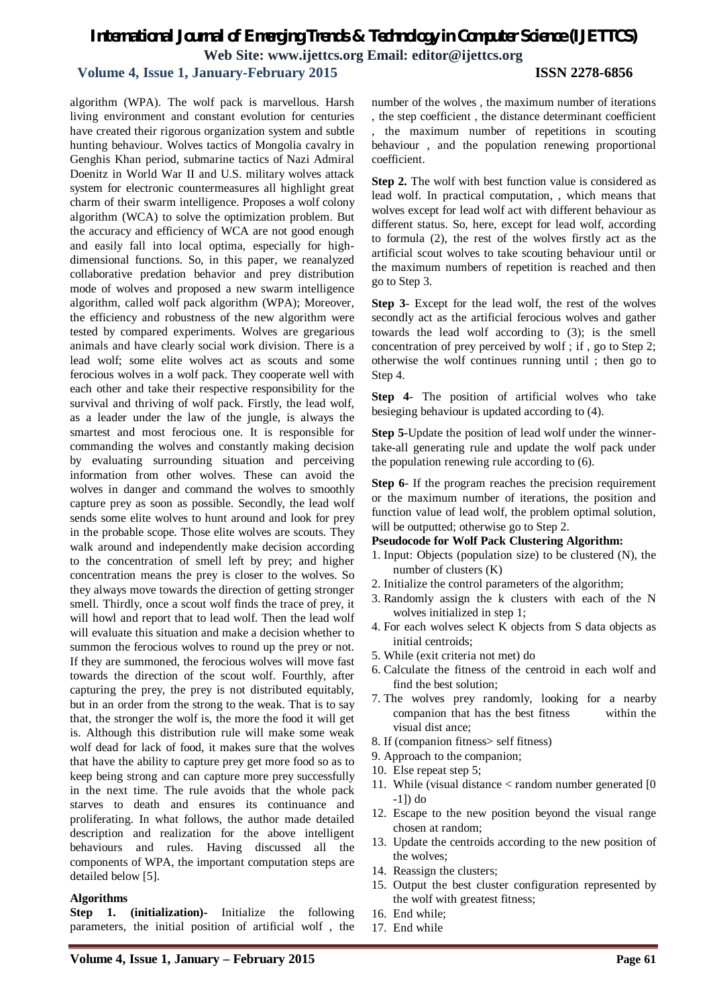### **Volume 4, Issue 1, January-February 2015 ISSN 2278-6856**

algorithm (WPA). The wolf pack is marvellous. Harsh living environment and constant evolution for centuries have created their rigorous organization system and subtle hunting behaviour. Wolves tactics of Mongolia cavalry in Genghis Khan period, submarine tactics of Nazi Admiral Doenitz in World War II and U.S. military wolves attack system for electronic countermeasures all highlight great charm of their swarm intelligence. Proposes a wolf colony algorithm (WCA) to solve the optimization problem. But the accuracy and efficiency of WCA are not good enough and easily fall into local optima, especially for highdimensional functions. So, in this paper, we reanalyzed collaborative predation behavior and prey distribution mode of wolves and proposed a new swarm intelligence algorithm, called wolf pack algorithm (WPA); Moreover, the efficiency and robustness of the new algorithm were tested by compared experiments. Wolves are gregarious animals and have clearly social work division. There is a lead wolf; some elite wolves act as scouts and some ferocious wolves in a wolf pack. They cooperate well with each other and take their respective responsibility for the survival and thriving of wolf pack. Firstly, the lead wolf, as a leader under the law of the jungle, is always the smartest and most ferocious one. It is responsible for commanding the wolves and constantly making decision by evaluating surrounding situation and perceiving information from other wolves. These can avoid the wolves in danger and command the wolves to smoothly capture prey as soon as possible. Secondly, the lead wolf sends some elite wolves to hunt around and look for prey in the probable scope. Those elite wolves are scouts. They walk around and independently make decision according to the concentration of smell left by prey; and higher concentration means the prey is closer to the wolves. So they always move towards the direction of getting stronger smell. Thirdly, once a scout wolf finds the trace of prey, it will howl and report that to lead wolf. Then the lead wolf will evaluate this situation and make a decision whether to summon the ferocious wolves to round up the prey or not. If they are summoned, the ferocious wolves will move fast towards the direction of the scout wolf. Fourthly, after capturing the prey, the prey is not distributed equitably, but in an order from the strong to the weak. That is to say that, the stronger the wolf is, the more the food it will get is. Although this distribution rule will make some weak wolf dead for lack of food, it makes sure that the wolves that have the ability to capture prey get more food so as to keep being strong and can capture more prey successfully in the next time. The rule avoids that the whole pack starves to death and ensures its continuance and proliferating. In what follows, the author made detailed description and realization for the above intelligent behaviours and rules. Having discussed all the components of WPA, the important computation steps are detailed below [5].

### **Algorithms**

**Step 1. (initialization)-** Initialize the following parameters, the initial position of artificial wolf , the

number of the wolves , the maximum number of iterations , the step coefficient , the distance determinant coefficient , the maximum number of repetitions in scouting behaviour , and the population renewing proportional coefficient.

**Step 2.** The wolf with best function value is considered as lead wolf. In practical computation, , which means that wolves except for lead wolf act with different behaviour as different status. So, here, except for lead wolf, according to formula (2), the rest of the wolves firstly act as the artificial scout wolves to take scouting behaviour until or the maximum numbers of repetition is reached and then go to Step 3.

**Step 3**- Except for the lead wolf, the rest of the wolves secondly act as the artificial ferocious wolves and gather towards the lead wolf according to (3); is the smell concentration of prey perceived by wolf ; if , go to Step 2; otherwise the wolf continues running until ; then go to Step 4.

**Step 4**- The position of artificial wolves who take besieging behaviour is updated according to (4).

**Step 5**-Update the position of lead wolf under the winnertake-all generating rule and update the wolf pack under the population renewing rule according to (6).

**Step 6**- If the program reaches the precision requirement or the maximum number of iterations, the position and function value of lead wolf, the problem optimal solution, will be outputted; otherwise go to Step 2.

#### **Pseudocode for Wolf Pack Clustering Algorithm:**

- 1. Input: Objects (population size) to be clustered (N), the number of clusters (K)
- 2. Initialize the control parameters of the algorithm;
- 3. Randomly assign the k clusters with each of the N wolves initialized in step 1;
- 4. For each wolves select K objects from S data objects as initial centroids;
- 5. While (exit criteria not met) do
- 6. Calculate the fitness of the centroid in each wolf and find the best solution;
- 7. The wolves prey randomly, looking for a nearby companion that has the best fitness within the visual dist ance;
- 8. If (companion fitness> self fitness)
- 9. Approach to the companion;
- 10. Else repeat step 5;
- 11. While (visual distance < random number generated [0 -1]) do
- 12. Escape to the new position beyond the visual range chosen at random;
- 13. Update the centroids according to the new position of the wolves;
- 14. Reassign the clusters;
- 15. Output the best cluster configuration represented by the wolf with greatest fitness;
- 16. End while;
- 17. End while